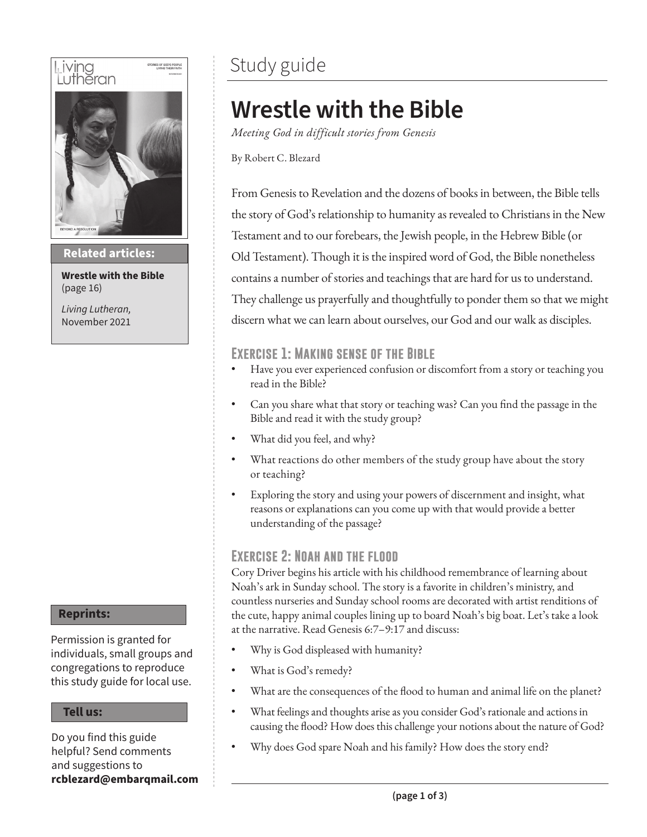

**Then sings my soul Related articles:**

**Wrestle with the Bible** (page 16)

*Living Lutheran,* November 2021

#### **Reprints:**

Permission is granted for individuals, small groups and congregations to reproduce this study guide for local use.

#### **Tell us:**

Do you find this guide helpful? Send comments and suggestions to **rcblezard@embarqmail.com**

## Study guide

# **Wrestle with the Bible**

*Meeting God in difficult stories from Genesis*

By Robert C. Blezard

From Genesis to Revelation and the dozens of books in between, the Bible tells the story of God's relationship to humanity as revealed to Christians in the New Testament and to our forebears, the Jewish people, in the Hebrew Bible (or Old Testament). Though it is the inspired word of God, the Bible nonetheless contains a number of stories and teachings that are hard for us to understand. They challenge us prayerfully and thoughtfully to ponder them so that we might discern what we can learn about ourselves, our God and our walk as disciples.

## **Exercise 1: Making sense of the Bible**

- Have you ever experienced confusion or discomfort from a story or teaching you read in the Bible?
- Can you share what that story or teaching was? Can you find the passage in the Bible and read it with the study group?
- What did you feel, and why?
- What reactions do other members of the study group have about the story or teaching?
- Exploring the story and using your powers of discernment and insight, what reasons or explanations can you come up with that would provide a better understanding of the passage?

## **Exercise 2: Noah and the flood**

Cory Driver begins his article with his childhood remembrance of learning about Noah's ark in Sunday school. The story is a favorite in children's ministry, and countless nurseries and Sunday school rooms are decorated with artist renditions of the cute, happy animal couples lining up to board Noah's big boat. Let's take a look at the narrative. Read Genesis 6:7–9:17 and discuss:

- Why is God displeased with humanity?
- What is God's remedy?
- What are the consequences of the flood to human and animal life on the planet?
- What feelings and thoughts arise as you consider God's rationale and actions in causing the flood? How does this challenge your notions about the nature of God?
- Why does God spare Noah and his family? How does the story end?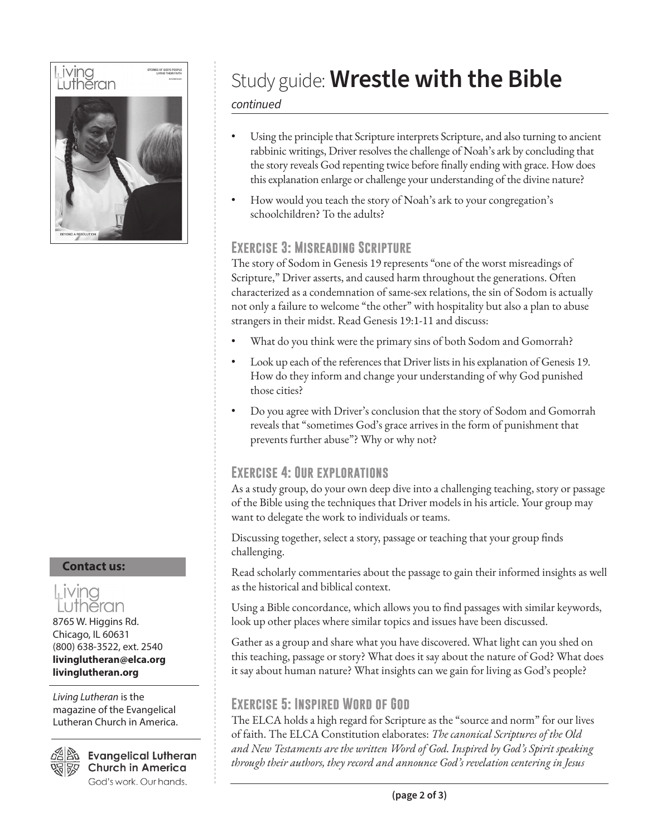

**Contact us:**

## Living heran

8765 W. Higgins Rd. Chicago, IL 60631 (800) 638-3522, ext. 2540 **livinglutheran@elca.org livinglutheran.org**

*Living Lutheran* is the magazine of the Evangelical Lutheran Church in America.



 $\mathbb{Z}^{\boxtimes}$  Evangelical Lutheran **Church in America** God's work. Our hands.

# Study guide: **Wrestle with the Bible**

#### *continued*

- Using the principle that Scripture interprets Scripture, and also turning to ancient rabbinic writings, Driver resolves the challenge of Noah's ark by concluding that the story reveals God repenting twice before finally ending with grace. How does this explanation enlarge or challenge your understanding of the divine nature?
- How would you teach the story of Noah's ark to your congregation's schoolchildren? To the adults?

## **Exercise 3: Misreading Scripture**

The story of Sodom in Genesis 19 represents "one of the worst misreadings of Scripture," Driver asserts, and caused harm throughout the generations. Often characterized as a condemnation of same-sex relations, the sin of Sodom is actually not only a failure to welcome "the other" with hospitality but also a plan to abuse strangers in their midst. Read Genesis 19:1-11 and discuss:

- What do you think were the primary sins of both Sodom and Gomorrah?
- Look up each of the references that Driver lists in his explanation of Genesis 19. How do they inform and change your understanding of why God punished those cities?
- Do you agree with Driver's conclusion that the story of Sodom and Gomorrah reveals that "sometimes God's grace arrives in the form of punishment that prevents further abuse"? Why or why not?

## **Exercise 4: Our explorations**

As a study group, do your own deep dive into a challenging teaching, story or passage of the Bible using the techniques that Driver models in his article. Your group may want to delegate the work to individuals or teams.

Discussing together, select a story, passage or teaching that your group finds challenging.

Read scholarly commentaries about the passage to gain their informed insights as well as the historical and biblical context.

Using a Bible concordance, which allows you to find passages with similar keywords, look up other places where similar topics and issues have been discussed.

Gather as a group and share what you have discovered. What light can you shed on this teaching, passage or story? What does it say about the nature of God? What does it say about human nature? What insights can we gain for living as God's people?

## **Exercise 5: Inspired Word of God**

The ELCA holds a high regard for Scripture as the "source and norm" for our lives of faith. The ELCA Constitution elaborates: *The canonical Scriptures of the Old and New Testaments are the written Word of God. Inspired by God's Spirit speaking through their authors, they record and announce God's revelation centering in Jesus*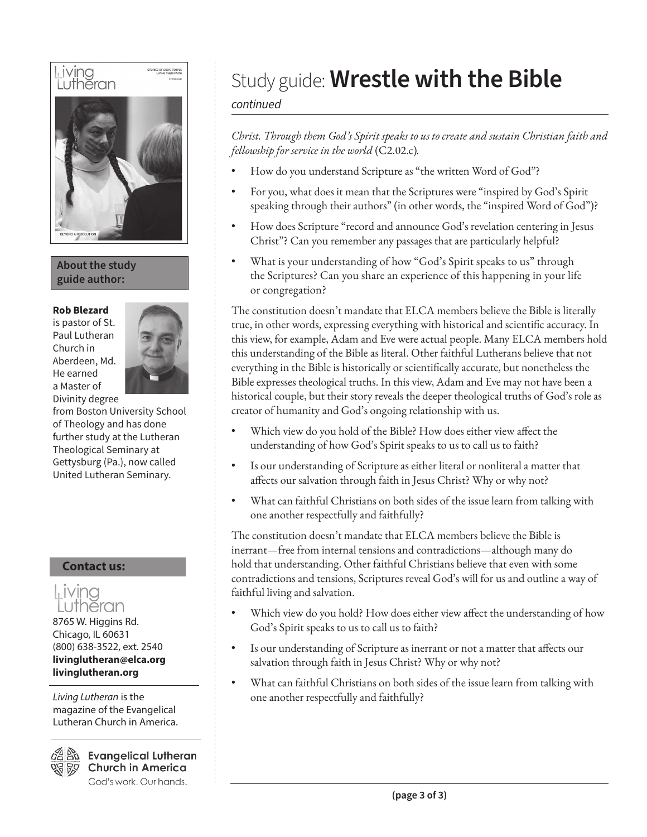

**About the study guide author:**

#### **Rob Blezard**

is pastor of St. Paul Lutheran Church in Aberdeen, Md. He earned a Master of Divinity degree



from Boston University School of Theology and has done further study at the Lutheran Theological Seminary at Gettysburg (Pa.), now called United Lutheran Seminary.

#### **Contact us:**



*Living Lutheran* is the magazine of the Evangelical Lutheran Church in America.

**Evangelical Lutheran Church in America** God's work. Our hands.

# Study guide: **Wrestle with the Bible**

#### *continued*

*Christ. Through them God's Spirit speaks to us to create and sustain Christian faith and fellowship for service in the world* (C2.02.c)*.*

- How do you understand Scripture as "the written Word of God"?
- For you, what does it mean that the Scriptures were "inspired by God's Spirit speaking through their authors" (in other words, the "inspired Word of God")?
- How does Scripture "record and announce God's revelation centering in Jesus Christ"? Can you remember any passages that are particularly helpful?
- What is your understanding of how "God's Spirit speaks to us" through the Scriptures? Can you share an experience of this happening in your life or congregation?

The constitution doesn't mandate that ELCA members believe the Bible is literally true, in other words, expressing everything with historical and scientific accuracy. In this view, for example, Adam and Eve were actual people. Many ELCA members hold this understanding of the Bible as literal. Other faithful Lutherans believe that not everything in the Bible is historically or scientifically accurate, but nonetheless the Bible expresses theological truths. In this view, Adam and Eve may not have been a historical couple, but their story reveals the deeper theological truths of God's role as creator of humanity and God's ongoing relationship with us.

- Which view do you hold of the Bible? How does either view affect the understanding of how God's Spirit speaks to us to call us to faith?
- Is our understanding of Scripture as either literal or nonliteral a matter that affects our salvation through faith in Jesus Christ? Why or why not?
- What can faithful Christians on both sides of the issue learn from talking with one another respectfully and faithfully?

The constitution doesn't mandate that ELCA members believe the Bible is inerrant—free from internal tensions and contradictions—although many do hold that understanding. Other faithful Christians believe that even with some contradictions and tensions, Scriptures reveal God's will for us and outline a way of faithful living and salvation.

- Which view do you hold? How does either view affect the understanding of how God's Spirit speaks to us to call us to faith?
- Is our understanding of Scripture as inerrant or not a matter that affects our salvation through faith in Jesus Christ? Why or why not?
- What can faithful Christians on both sides of the issue learn from talking with one another respectfully and faithfully?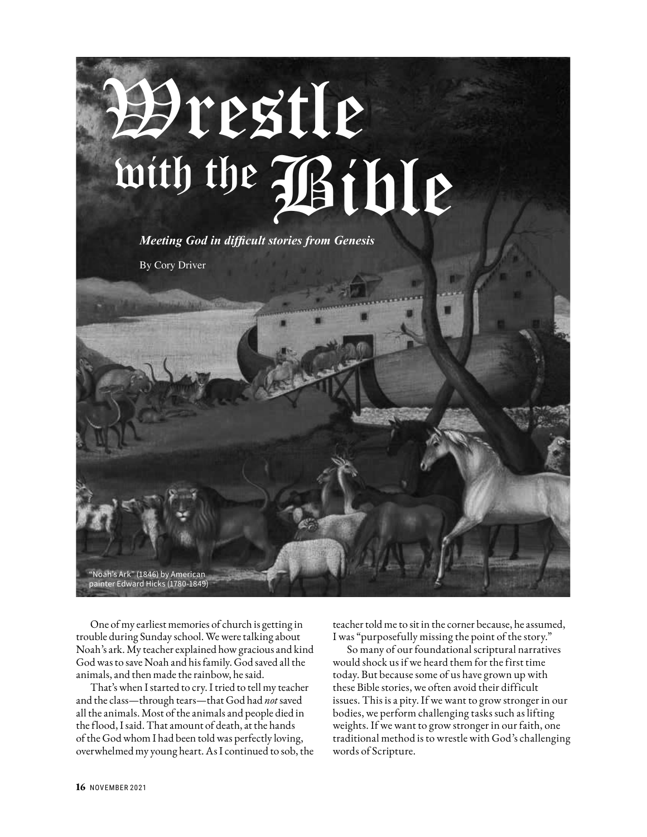

One of my earliest memories of church is getting in trouble during Sunday school. We were talking about Noah's ark. My teacher explained how gracious and kind God was to save Noah and his family. God saved all the animals, and then made the rainbow, he said.

That's when I started to cry. I tried to tell my teacher and the class—through tears—that God had *not* saved all the animals. Most of the animals and people died in the flood, I said. That amount of death, at the hands of the God whom I had been told was perfectly loving, overwhelmed my young heart. As I continued to sob, the teacher told me to sit in the corner because, he assumed, I was "purposefully missing the point of the story."

So many of our foundational scriptural narratives would shock us if we heard them for the first time today. But because some of us have grown up with these Bible stories, we often avoid their difficult issues. This is a pity. If we want to grow stronger in our bodies, we perform challenging tasks such as lifting weights. If we want to grow stronger in our faith, one traditional method is to wrestle with God's challenging words of Scripture.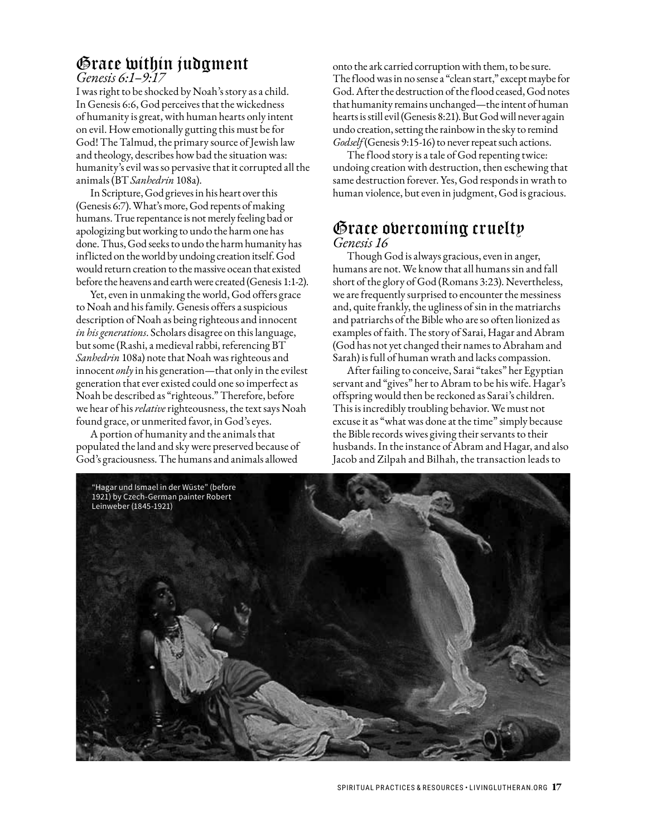## Grace within judgment

*Genesis 6:1–9:17*

I was right to be shocked by Noah's story as a child. In Genesis 6:6, God perceives that the wickedness of humanity is great, with human hearts only intent on evil. How emotionally gutting this must be for God! The Talmud, the primary source of Jewish law and theology, describes how bad the situation was: humanity's evil was so pervasive that it corrupted all the animals (BT *Sanhedrin* 108a).

In Scripture, God grieves in his heart over this (Genesis 6:7). What's more, God repents of making humans. True repentance is not merely feeling bad or apologizing but working to undo the harm one has done. Thus, God seeks to undo the harm humanity has inflicted on the world by undoing creation itself. God would return creation to the massive ocean that existed before the heavens and earth were created (Genesis 1:1-2).

Yet, even in unmaking the world, God offers grace to Noah and his family. Genesis offers a suspicious description of Noah as being righteous and innocent *in his generations*. Scholars disagree on this language, but some (Rashi, a medieval rabbi, referencing BT *Sanhedrin* 108a) note that Noah was righteous and innocent *only* in his generation—that only in the evilest generation that ever existed could one so imperfect as Noah be described as "righteous." Therefore, before we hear of his *relative* righteousness, the text says Noah found grace, or unmerited favor, in God's eyes.

A portion of humanity and the animals that populated the land and sky were preserved because of God's graciousness. The humans and animals allowed

onto the ark carried corruption with them, to be sure. The flood was in no sense a "clean start," except maybe for God. After the destruction of the flood ceased, God notes that humanity remains unchanged—the intent of human hearts is still evil (Genesis 8:21). But God will never again undo creation, setting the rainbow in the sky to remind *Godself* (Genesis 9:15-16) to never repeat such actions.

The flood story is a tale of God repenting twice: undoing creation with destruction, then eschewing that same destruction forever. Yes, God responds in wrath to human violence, but even in judgment, God is gracious.

## Grace overcoming cruelty *Genesis 16*

Though God is always gracious, even in anger, humans are not. We know that all humans sin and fall short of the glory of God (Romans 3:23). Nevertheless, we are frequently surprised to encounter the messiness and, quite frankly, the ugliness of sin in the matriarchs and patriarchs of the Bible who are so often lionized as examples of faith. The story of Sarai, Hagar and Abram (God has not yet changed their names to Abraham and Sarah) is full of human wrath and lacks compassion.

After failing to conceive, Sarai "takes" her Egyptian servant and "gives" her to Abram to be his wife. Hagar's offspring would then be reckoned as Sarai's children. This is incredibly troubling behavior. We must not excuse it as "what was done at the time" simply because the Bible records wives giving their servants to their husbands. In the instance of Abram and Hagar, and also Jacob and Zilpah and Bilhah, the transaction leads to

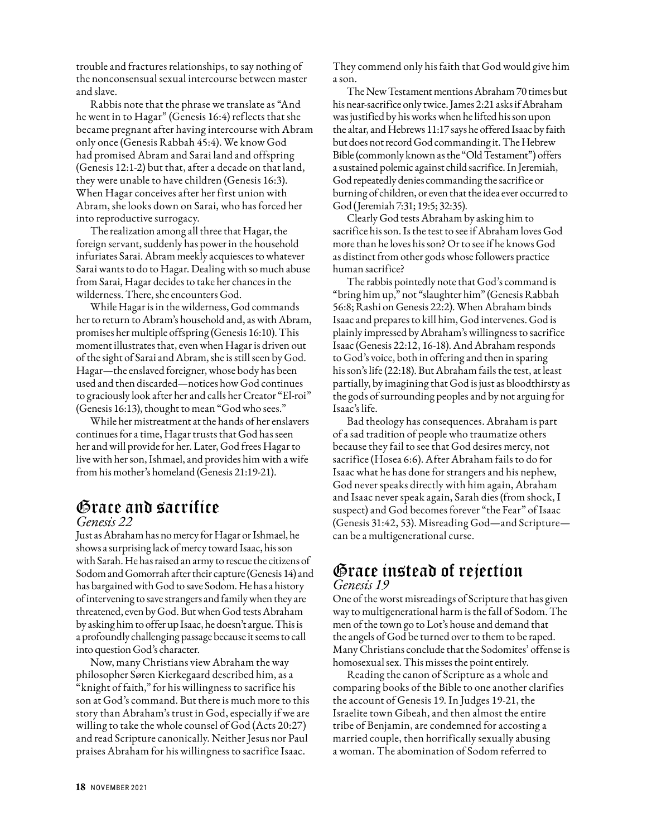trouble and fractures relationships, to say nothing of the nonconsensual sexual intercourse between master and slave.

Rabbis note that the phrase we translate as "And he went in to Hagar" (Genesis 16:4) reflects that she became pregnant after having intercourse with Abram only once (Genesis Rabbah 45:4). We know God had promised Abram and Sarai land and offspring (Genesis 12:1-2) but that, after a decade on that land, they were unable to have children (Genesis 16:3). When Hagar conceives after her first union with Abram, she looks down on Sarai, who has forced her into reproductive surrogacy.

The realization among all three that Hagar, the foreign servant, suddenly has power in the household infuriates Sarai. Abram meekly acquiesces to whatever Sarai wants to do to Hagar. Dealing with so much abuse from Sarai, Hagar decides to take her chances in the wilderness. There, she encounters God.

While Hagar is in the wilderness, God commands her to return to Abram's household and, as with Abram, promises her multiple offspring (Genesis 16:10). This moment illustrates that, even when Hagar is driven out of the sight of Sarai and Abram, she is still seen by God. Hagar—the enslaved foreigner, whose body has been used and then discarded—notices how God continues to graciously look after her and calls her Creator "El-roi" (Genesis 16:13), thought to mean "God who sees."

While her mistreatment at the hands of her enslavers continues for a time, Hagar trusts that God has seen her and will provide for her. Later, God frees Hagar to live with her son, Ishmael, and provides him with a wife from his mother's homeland (Genesis 21:19-21).

#### Grace and sacrifice *Genesis 22*

Just as Abraham has no mercy for Hagar or Ishmael, he shows a surprising lack of mercy toward Isaac, his son with Sarah. He has raised an army to rescue the citizens of Sodom and Gomorrah after their capture (Genesis 14) and has bargained with God to save Sodom. He has a history of intervening to save strangers and family when they are threatened, even by God. But when God tests Abraham by asking him to offer up Isaac, he doesn't argue. This is a profoundly challenging passage because it seems to call into question God's character.

Now, many Christians view Abraham the way philosopher Søren Kierkegaard described him, as a "knight of faith," for his willingness to sacrifice his son at God's command. But there is much more to this story than Abraham's trust in God, especially if we are willing to take the whole counsel of God (Acts 20:27) and read Scripture canonically. Neither Jesus nor Paul praises Abraham for his willingness to sacrifice Isaac.

They commend only his faith that God would give him a son.

The New Testament mentions Abraham 70 times but his near-sacrifice only twice. James 2:21 asks if Abraham was justified by his works when he lifted his son upon the altar, and Hebrews 11:17 says he offered Isaac by faith but does not record God commanding it. The Hebrew Bible (commonly known as the "Old Testament") offers a sustained polemic against child sacrifice. In Jeremiah, God repeatedly denies commanding the sacrifice or burning of children, or even that the idea ever occurred to God (Jeremiah 7:31; 19:5; 32:35).

Clearly God tests Abraham by asking him to sacrifice his son. Is the test to see if Abraham loves God more than he loves his son? Or to see if he knows God as distinct from other gods whose followers practice human sacrifice?

The rabbis pointedly note that God's command is "bring him up," not "slaughter him" (Genesis Rabbah 56:8; Rashi on Genesis 22:2). When Abraham binds Isaac and prepares to kill him, God intervenes. God is plainly impressed by Abraham's willingness to sacrifice Isaac (Genesis 22:12, 16-18). And Abraham responds to God's voice, both in offering and then in sparing his son's life (22:18). But Abraham fails the test, at least partially, by imagining that God is just as bloodthirsty as the gods of surrounding peoples and by not arguing for Isaac's life.

Bad theology has consequences. Abraham is part of a sad tradition of people who traumatize others because they fail to see that God desires mercy, not sacrifice (Hosea 6:6). After Abraham fails to do for Isaac what he has done for strangers and his nephew, God never speaks directly with him again, Abraham and Isaac never speak again, Sarah dies (from shock, I suspect) and God becomes forever "the Fear" of Isaac (Genesis 31:42, 53). Misreading God—and Scripture can be a multigenerational curse.

## Grace instead of rejection *Genesis 19*

One of the worst misreadings of Scripture that has given way to multigenerational harm is the fall of Sodom. The men of the town go to Lot's house and demand that the angels of God be turned over to them to be raped. Many Christians conclude that the Sodomites' offense is homosexual sex. This misses the point entirely.

Reading the canon of Scripture as a whole and comparing books of the Bible to one another clarifies the account of Genesis 19. In Judges 19-21, the Israelite town Gibeah, and then almost the entire tribe of Benjamin, are condemned for accosting a married couple, then horrifically sexually abusing a woman. The abomination of Sodom referred to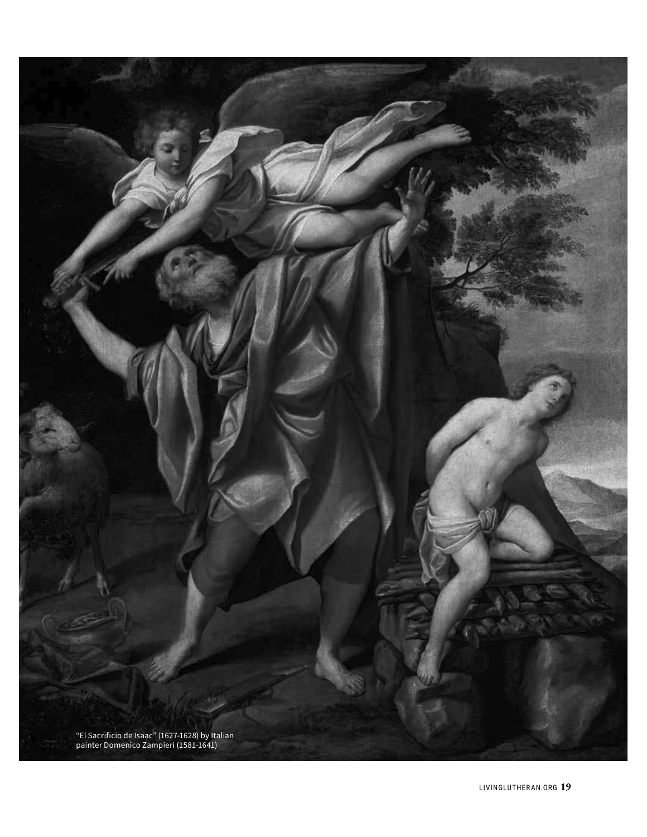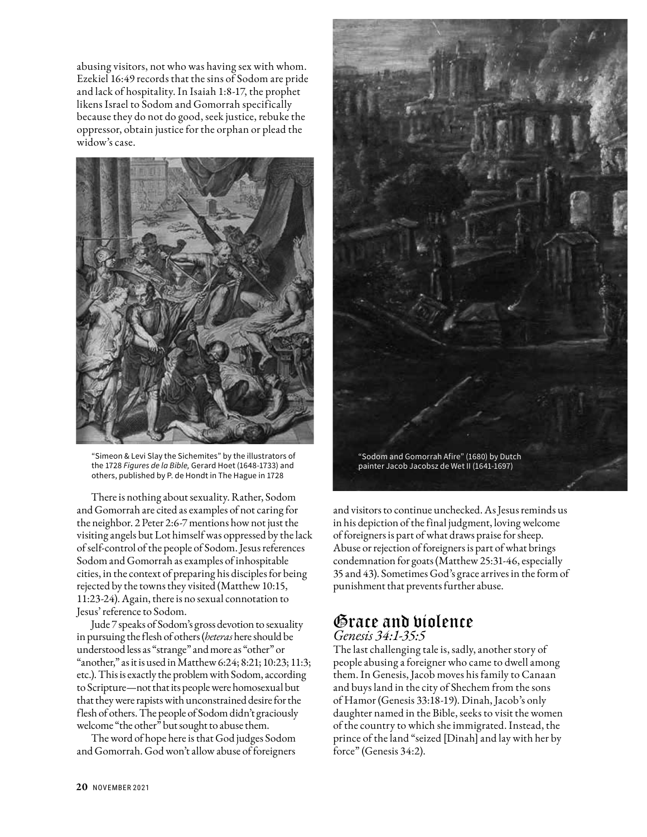abusing visitors, not who was having sex with whom. Ezekiel 16:49 records that the sins of Sodom are pride and lack of hospitality. In Isaiah 1:8-17, the prophet likens Israel to Sodom and Gomorrah specifically because they do not do good, seek justice, rebuke the oppressor, obtain justice for the orphan or plead the widow's case.



"Simeon & Levi Slay the Sichemites" by the illustrators of the 1728 *Figures de la Bible,* Gerard Hoet (1648-1733) and others, published by P. de Hondt in The Hague in 1728

There is nothing about sexuality. Rather, Sodom and Gomorrah are cited as examples of not caring for the neighbor. 2 Peter 2:6-7 mentions how not just the visiting angels but Lot himself was oppressed by the lack of self-control of the people of Sodom. Jesus references Sodom and Gomorrah as examples of inhospitable cities, in the context of preparing his disciples for being rejected by the towns they visited (Matthew 10:15, 11:23-24). Again, there is no sexual connotation to Jesus' reference to Sodom.

Jude 7 speaks of Sodom's gross devotion to sexuality in pursuing the flesh of others (*heteras* here should be understood less as "strange" and more as "other" or "another," as it is used in Matthew 6:24; 8:21; 10:23; 11:3; etc.). This is exactly the problem with Sodom, according to Scripture—not that its people were homosexual but that they were rapists with unconstrained desire for the flesh of others. The people of Sodom didn't graciously welcome "the other" but sought to abuse them.

The word of hope here is that God judges Sodom and Gomorrah. God won't allow abuse of foreigners



and visitors to continue unchecked. As Jesus reminds us in his depiction of the final judgment, loving welcome of foreigners is part of what draws praise for sheep. Abuse or rejection of foreigners is part of what brings condemnation for goats (Matthew 25:31-46, especially 35 and 43). Sometimes God's grace arrives in the form of punishment that prevents further abuse.

#### Grace and violence *Genesis 34:1-35:5*

The last challenging tale is, sadly, another story of people abusing a foreigner who came to dwell among them. In Genesis, Jacob moves his family to Canaan and buys land in the city of Shechem from the sons of Hamor (Genesis 33:18-19). Dinah, Jacob's only daughter named in the Bible, seeks to visit the women of the country to which she immigrated. Instead, the prince of the land "seized [Dinah] and lay with her by force" (Genesis 34:2).